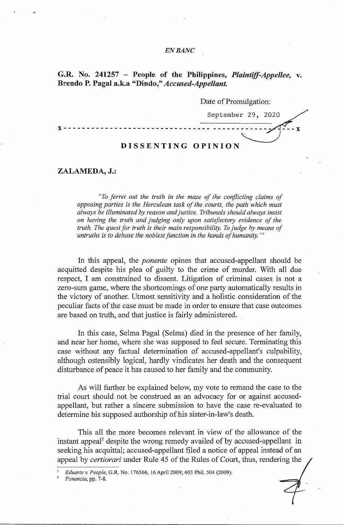### *EN* **BANC**

# **G.R. No. 241257** - **People of the Philippines,** *Plaintijf-Appellee,* **v. B1rendo P. Pagal a.k.a "Dindo,"** *Accused-Appellant.*

### Date of Promulgation:

September 29, 2020

 $- \mathbf{X}$ 

**x--------------------------------** -------------

# **DISSENTING OPINION**

**ZALAMEDA, J.:** 

*"To ferret out the truth in the maze of the c01iflicting claims of opposing parties is the Herculean task of the courts, the path which must always be illuminated by reason and justice. Tribunals should always insist on having the truth and judging only upon satisfactory evidence of the truth. The quest for truth is their main responsibility. To judge by means of untruths is to debase the noblest function in the hands of humanity. "1* 

In this appeal, the *ponente* opines that accused-appellant should be acquitted despite his plea of guilty to the crime of murder. With all due respect, I am constrained to dissent. Litigation of criminal cases is not a zero-sum game, where the shortcomings of one party automatically results in the victory of another. Utmost sensitivity and a holistic consideration of the peculiar facts of the case must be made in order to ensure that case outcomes are based on truth, and that justice is fairly administered.

In this case, Selma Pagal (Selma) died in the presence of her family, and near her home, where she was supposed to feel secure. Terminating this case without any factual determination of accused-appellant's culpability, although ostensibly logical, hardly vindicates her death and the consequent disturbance of peace it has caused to her family and the community.

As will further be explained below, my vote to remand the case to the trial court should not be construed as an advocacy for or against accusedappellant, but rather a sincere submission to have the case re-evaluated to determine his supposed authorship of his sister-in-law's death.

This all the more becomes relevant in view of the allowance of the instant appeal<sup>2</sup> despite the wrong remedy availed of by accused-appellant in seeking his acquittal; accused-appellant filed a notice of appeal instead of an appeal by *certiorari* under Rule 45 of the Rules of Court, thus, rendering the

<sup>1</sup>*Eduarte* v. *People,* G.R. No. 176566, 16 April 2009; 603 Phil. 504 (2009).

<sup>2</sup>*Ponencia,* pp. 7-8.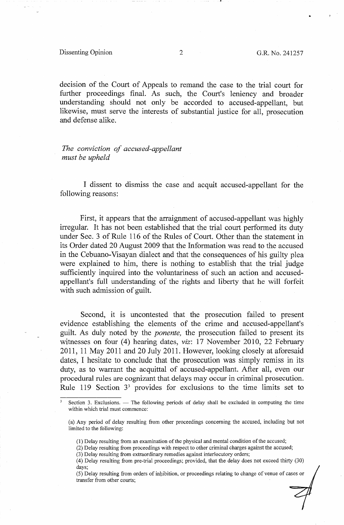#### Dissenting Opinion 2 G.R. No. 241257

..

decision of the Court of Appeals to remand the case to the trial court for further proceedings final. As such, the Court's leniency and broader understanding should not only be accorded to accused-appellant, but likewise, must serve the interests of substantial justice for all, prosecution and defense alike.

*The conviction of accused-appellant must be upheld* 

I dissent to dismiss the case and acquit accused-appellant for the following reasons:

First, it appears that the arraignment of accused-appellant was highly irregular. It has not been established that the trial court performed its duty under Sec. 3 of Rule 116 of the Rules of Court. Other than the statement in its Order dated 20 August 2009 that the Information was read to the accused in the Cebuano-Visayan dialect and that the consequences of his guilty plea were explained to him, there is nothing to establish that the trial judge sufficiently inquired into the voluntariness of such an action and accusedappellant's full understanding of the rights and liberty that he will forfeit with such admission of guilt.

Second, it is uncontested that the prosecution failed to present evidence establishing the elements of the crime and accused-appellant's guilt. As duly noted by the *ponente,* the prosecution failed to present its witnesses on four (4) hearing dates, *viz:* 17 November 2010, 22 February 2011, 11 May 2011 and 20 July 2011. However, looking closely at aforesaid dates, I hesitate to conclude that the prosecution was simply remiss in its duty, as to warrant the acquittal of accused-appellant. After all, even our procedural rules are cognizant that delays may occur in criminal prosecution. Rule 119 Section 3<sup>3</sup> provides for exclusions to the time limits set to

Section 3. Exclusions. - The following periods of delay shall be excluded in computing the time within which trial must commence:

<sup>(</sup>a) Any period of delay resulting from other proceedings concerning the accused, including but not limited to the following:

<sup>(1)</sup> Delay resulting from an examination of the physical and mental condition of the accused;

<sup>(2)</sup> Delay resulting from proceedings with respect to other criminal charges against the accused;

<sup>(3)</sup> Delay resulting from extraordinary remedies against interlocutory orders;

<sup>(4)</sup> Delay resulting from pre-trial proceedings; provided, that the delay does not exceed thirty (30) days;

<sup>(5)</sup> Delay resulting from orders of inhibition, or proceedings relating to change of venue of cases or transfer from other courts;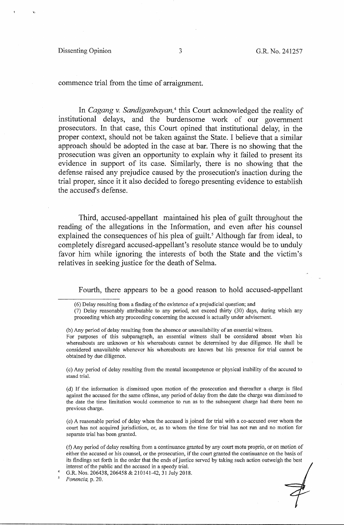### Dissenting Opinion 3 G.R. No. 241257

commence trial from the time of arraignment.

In *Cagang v. Sandiganbayan,* 4 this Court acknowledged the reality of institutional delays, and the burdensome work of our government prosecutors. In that case, this Court opined that institutional delay, in the proper context, should not be taken against the State. I believe that a similar approach should be adopted in the case at bar. There is no showing that the prosecution was given an opportunity to explain why it failed to present its evidence in support of its case. Similarly, there is no showing that the defense raised any prejudice caused by the prosecution's inaction during the trial proper, since it it also decided to forego presenting evidence to establish the accused's defense.

Third, accused-appellant maintained his plea of guilt throughout the reading of the allegations in the Information, and even after his counsel explained the consequences of his plea of guilt.<sup>5</sup> Although far from ideal, to completely disregard accused-appellant's resolute stance would be to unduly favor him while ignoring the interests of both the State and the victim's relatives in seeking justice for the death of Selma.

Fourth, there appears to be a good reason to hold accused-appellant

(b) Any period of delay resulting from the absence or unavailability of an essential witness.

For purposes of this subparagraph, an essential witness shall be considered absent when his whereabouts are unknown or his whereabouts cannot be determined by due diligence. He shall be considered unavailable whenever his whereabouts are known but his presence for trial cannot be obtained by due diligence.

( c) Any period of delay resulting from the mental incompetence or physical inability of the accused to stand trial.

( d) If the information is dismissed upon motion of the prosecution and thereafter a charge is filed against the accused for the same offense, any period of delay from the date the charge was dismissed to the date the time limitation would commence to run as to the subsequent charge had there been no previous charge.

(e) A reasonable period of delay when the accused is joined for trial with a co-accused over whom the court has not acquired jurisdiction, or, as to whom the time for trial has not run and no motion for separate trial has been granted.

(f) Any period of delay resulting from a continuance granted by any court motu proprio, or on motion of either the accused or his counsel, or the prosecution, if the court granted the continuance on the basis of its findings set forth in the order that the ends of justice served by taking such action outweigh the best interest of the public and the accused in a speedy trial.

G.R. Nos. 206438, 206458 & 210141-42, 31 July 2018.

5 *Ponencia,* p. 20.

<sup>(6)</sup> Delay resulting from a finding of the existence of a prejudicial question; and

<sup>(7)</sup> Delay reasonably. attributable to any period, not exceed thirty (30) days, during which any proceeding which any proceeding concerning the accused is actually under advisement.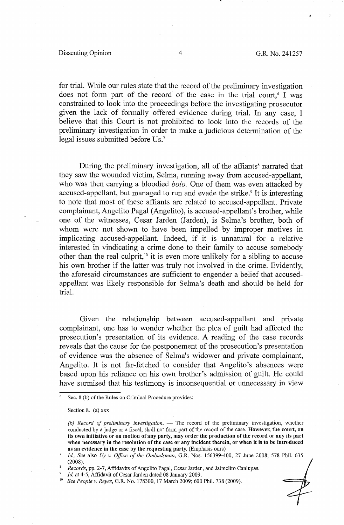#### Dissenting Opinion 4 G.R. No. 241257

for trial. While our rules state that the record of the preliminary investigation does not form part of the record of the case in the trial court,  $\mathfrak{g}$  I was constrained to look into the proceedings before the investigating prosecutor given the lack of formally offered evidence during trial. In any case, I believe that this Court is not prohibited to look into the records of the preliminary investigation in order to make a judicious determination of the legal issues submitted before Us.<sup>7</sup>

During the preliminary investigation, all of the affiants<sup>8</sup> narrated that they saw the wounded victim, Selma, running away from accused-appellant, who was then carrying a bloodied *bolo.* One of them was even attacked by accused-appellant, but managed to run and evade the strike.<sup>9</sup> It is interesting to note that most of these affiants are related to accused-appellant. Private complainant, Angelito Pagal (Angelito), is accused-appellant's brother, while one of the witnesses, Cesar Jarden (Jarden), is Selma's brother, both of whom were not shown to have been impelled by improper motives in implicating accused-appellant. Indeed, if it is unnatural for a relative interested in vindicating a crime done to their family to accuse somebody other than the real culprit,<sup>10</sup> it is even more unlikely for a sibling to accuse his own brother if the latter was truly not involved in the crime. Evidently, the aforesaid circumstances are sufficient to engender a belief that accusedappellant was likely responsible for Selma's death and should be held for trial.

Given the relationship between accused-appellant and private complainant, one has to wonder whether the plea of guilt had affected the prosecution's presentation of its evidence. A reading of the case records reveals that the cause for the postponement of the prosecution's presentation of evidence was the absence of Selma's widower and private complainant, Angelito. It is not far-fetchel to consider that Angelito's absences were based upon his reliance on his own brother's admission of guilt. He could have surmised that his testimony is inconsequential or unnecessary in view

Sec. 8 (b) of the Rules on Criminal Procedure provides:

Section 8. (a) xxx

*<sup>(</sup>b) Record of preliminary investigation.* - The record of the preliminary investigation, whether conducted by a judge or a fiscal, shall not form part of the record of the case. **However, the court, on its own initiative or on motion of any party, may order the production of the record or any its part when necessary in the resolution of the case or any incident therein, or when it is to be introduced as an evidence in the case by the requesting party.** (Emphasis ours)

<sup>7</sup>*Id, See* also *Uy v. Office of the Ombudsman,* G.R. Nos. 156399-400, 27 June 2008; 578 Phil. 635 (2008).

<sup>8</sup> *Records,* pp. 2-7, Affidavits of Angelita Pagal, Cesar Jarden, and Jaimelito Canlupas.

<sup>9</sup>*Id.* at 4-5, Affidavit of Cesar Jarden dated 08 January 2009. 10 *See People v. Reyes,* G.R. No. 178300, 17 March 2009; 600 Phil. 738 (2009).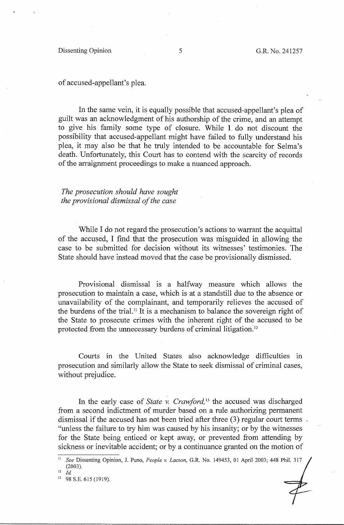of accused-appellant's plea.

In the same vein, it is equally possible that accused-appellant's plea of guilt was an acknowledgment of his authorship of the crime, and an attempt to give his family some type of closure. While I do not discount the possibility that accused-appellant might have failed to fully understand his plea, it may also be that he truly intended to be accountable for Selma's death. Unfortunately, this Court has to contend with the scarcity of records of the arraignment proceedings to make a nuanced approach.

*The prosecution should have sought the provisional dismissal of the case* 

While I do not regard the prosecution's actions to warrant the acquittal of the accused, I find that the prosecution was misguided in allowing the case to be submitted for decision without its witnesses' testimonies. The State should have instead moved that the case be provisionally dismissed.

Provisional dismissal is a halfway measure which allows the prosecution to maintain a case, which is, at a standstill due to the absence or unavailability of the complainant, and temporarily relieves the accused of the burdens of the trial. 11 It is a mechanism to balance the sovereign right of the State to prosecute crimes with the inherent right of the accused to be protected from the unnecessary burdens of criminal litigation. 12

Courts in the United States also acknowledge difficulties in prosecution and similarly allow the State to seek dismissal of criminal cases, without prejudice.

In the early case of *State v. Crawford,* 13 the accused was discharged from a second indictment of murder based on a rule authorizing permanent dismissal if the accused has not been tried after three (3) regular court terms "unless the failure to try him was caused by his insanity; or by the witnesses for the State being enticed or kept away, or prevented from attending by sickness or inevitable accident; or by a continuance granted on the motion of

<sup>11</sup>*See* Dissenting Opinion, J. Puno, *People v. Lacson,* G.R. No. 149453, 01 April 2003; 448 Phil. 317  $(2003).$ <sup>12</sup> *Id.* 

<sup>&</sup>lt;sup>13</sup> 98 S.E. 615 (1919).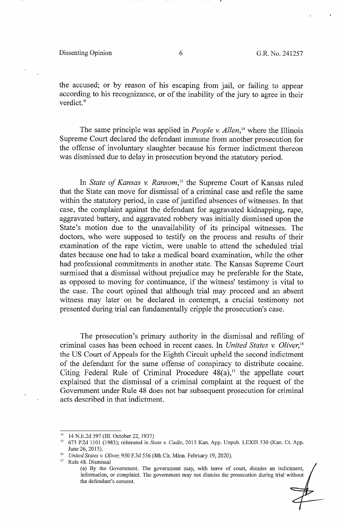Dissenting Opinion 6 G.R. No. 241257

the accused; or by reason of his escaping from jail, or failing to appear according to his recognizance, or of the inability of the jury to agree in their verdict."

The same principle was applied in *People v. Allen*<sup>14</sup> where the Illinois Supreme Court declared the defendant immune from another prosecution for the offense of involuntary slaughter because his former indictment thereon was dismissed due to delay in prosecution beyond the statutory period.

In *State of Kansas v. Ransom,* 15 the Supreme Court of Kansas ruled that the State can move for dismissal of a criminal case and refile the same within the statutory period, in case of justified absences of witnesses. In that case, the complaint against the defendant for aggravated kidnapping, rape, aggravated battery, and aggravated robbery was initially dismissed upon the State's motion due to the unavailability of its principal witnesses. The doctors, who were supposed to testify on the process and results of their examination of the rape victim, were unable to attend the scheduled trial dates because one had to take a medical board examination, while the other had professional commitments in another state. The Kansas Supreme Court surmised that a dismissal without prejudice may be preferable for the State, as opposed to moving for continuance, if the witness' testimony is vital to the case. The court opined that although trial may proceed and an absent witness may later on be declared in contempt, a crucial testimony not presented during trial can fundamentally cripple the prosecution's case.

The prosecution's primary authority in the dismissal and refiling of criminal cases has been echoed in recent cases. In *United States v. Oliver,* <sup>16</sup> the US Court of Appeals for the Eighth Circuit upheld the second indictment of the defendant for the same offense of conspiracy to distribute cocaine. Citing Federal Rule of Criminal Procedure  $48(a)$ ,<sup>17</sup> the appellate court explained that the dismissal of a criminal complaint at the request of the Government under Rule 48 does not bar subsequent prosecution for criminal acts described in that indictment.

<sup>14</sup>14 N.E.2d 397 (III. October 22, 1937) 15 673 P.2d 1101 (1983); reiterated in *State v. Cadle,* 2015 Kan. App. Unpub. LEXIS 530 (Kan. Ct. App. June 26, 2015). 16 *United States v. Oliver,* 950 F.3d 556 (8th Cir. Minn. February 19, 2020). 17 Rule 48. Dismissal

<sup>(</sup>a) By the Government. The government may, with leave of court, dismiss an indictment, information, or complaint. The government may not dismiss the prosecution during trial without the defendant's consent.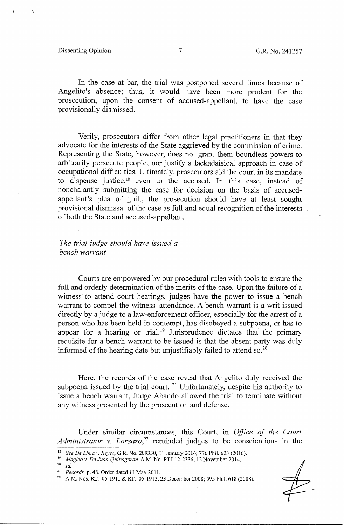### Dissenting Opinion 7 G.R. No. 241257

In the case at bar, the trial was postponed several times because of Angelita's absence; thus, it would have been more prudent for the prosecution, upon the consent of accused-appellant, to have the case provisionally dismissed.

Verily, prosecutors differ from other legal practitioners in that they advocate for the interests of the State aggrieved by the commission of crime. Representing the State, however, does not grant them boundless powers to arbitrarily persecute people, nor justify a lackadaisical approach in case of occupational difficulties. Ultimately, prosecutors aid the court in its mandate to dispense justice,<sup>18</sup> even to the accused. In this case, instead of nonchalantly submitting the case for decision on the basis of accusedappellant's plea of guilt, the prosecution should have at least sought provisional dismissal of the case as full and equal recognition of the interests of both the State and accused-appellant.

# *The trial judge should have issued a bench warrant*

Courts are empowered by our procedural rules with tools to ensure the full and orderly determination of the merits of the case. Upon the failure of a witness to attend court hearings, judges have the power to issue a bench warrant to compel the witness' attendance. A bench warrant is a writ issued directly by a judge to a law-enforcement officer, especially for the arrest of a person who has been held in contempt, has disobeyed a subpoena, or has to appear for a hearing or trial.<sup>19</sup> Jurisprudence dictates that the primary requisite for a bench warrant to be issued is that the absent-party was duly informed of the hearing date but unjustifiably failed to attend so.<sup>20</sup>

Here, the records of the case reveal that Angelito duly received the subpoena issued by the trial court.  $21$  Unfortunately, despite his authority to issue a bench warrant, Judge Abando allowed the trial to terminate without any witness presented by the prosecution and defense.

Under similar circumstances, this Court, in *Office of the Court Administrator v. Lorenzo,22* reminded judges to be conscientious in the

*Records, p. 48, Order dated 11 May 2011.* 23 December 2008; 595 Phil. 618 (2008). A.M. Nos. RTJ-05-1911 & RTJ-05-1913, 23 December 2008; 595 Phil. 618 (2008).

See De Lima v. *Reyes*, G.R. No. 209330, 11 January 2016; 776 Phil. 623 (2016).<br>*Magleo v. De Juan-Quinagoran*, A.M. No. RTJ-12-2336, 12 November 2014.<br>*Id.*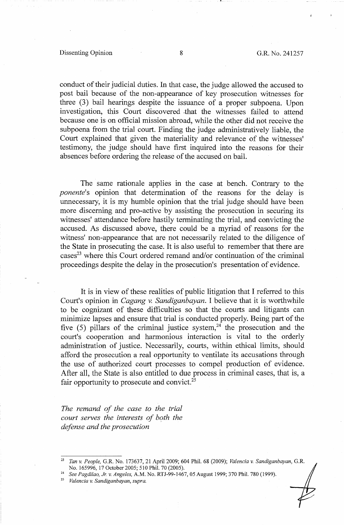#### Dissenting Opinion 8 8 G.R. No. 241257

conduct of their judicial duties. In that case, the judge allowed the accused to post bail because of the non-appearance of key prosecution witnesses for three (3) bail hearings despite the issuance of a proper subpoena. Upon investigation, this Court discovered .that the witnesses failed to attend because one is on official mission abroad, while the other did not receive the subpoena from the trial court. Finding the judge administratively liable, the Court explained that given the materiality and relevance of the witnesses' testimony, the judge should have first inquired into the reasons for their absences before ordering the release of the accused on bail.

The same rationale applies in the case at bench. Contrary to the *ponente's* opinion that determination of the reasons for the delay is unnecessary, it is my humble opinion that the trial judge should have been more discerning and pro-active by assisting the prosecution in securing its witnesses' attendance before hastily terminating the trial, and convicting the accused. As discussed above, there could be a myriad of reasons for the witness' non-appearance that are not necessarily related to the diligence of the State in prosecuting the case. It is also useful to remember that there are  $\text{cases}^{23}$  where this Court ordered remand and/or continuation of the criminal proceedings despite the delay in the prosecution's presentation of evidence.

It is in view of these realities of public litigation that I referred to this Court's opinion in *Cagang v. Sandiganbayan.* I believe that it is worthwhile to be cognizant of these difficulties so that the courts and litigants can minimize lapses and ensure that trial is conducted properly. Being part of the five (5) pillars of the criminal justice system,  $24$  the prosecution and the court's cooperation and harmonious interaction is vital to the orderly administration of justice. Necessarily, courts, within ethical limits, should afford the prosecution a real opportunity to ventilate its accusations through the use of authorized court processes to compel production of evidence. After all, the State is also entitled to due process in criminal cases, that is, a fair opportunity to prosecute and convict. $2\overline{5}$ 

*The remand of the case to the trial court serves the interests of both the defense and the prosecution* 

<sup>23</sup>*Tan v. People,* G.R. No. 173637, 21 April 2009; 604 Phil. 68 (2009); *Valencia v. Sandiganbayan,* G.R.

No. 165996, 17 October 2005; 510 Phil. 70 (2005). 24 *See Pagdilao, Jr. v. Angeles,* A.M. No. RTJ-99-1467, 05 August 1999; 370 Phil. 780 (1999). 25 *Valencia v. Sandiganbayan, supra.*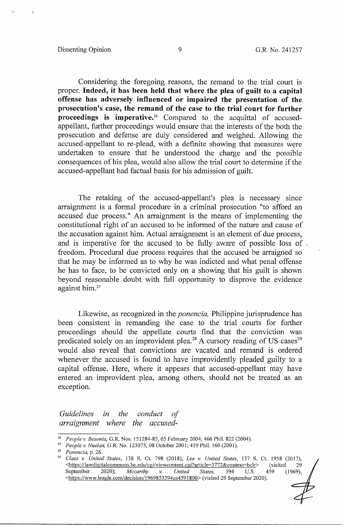#### Dissenting Opinion 9 G.R. No. 241257

Considering the foregoing reasons, the remand to the trial court is proper. **Indeed,** it **has been held that where the plea of guilt to a capital offense has adversely influenced or impaired the presentation of the p:rosecution's case, the remand of the case to the trial court for further proceedings is imperative.**<sup>26</sup> Compared to the acquittal of accusedappellant, further proceedings would ensure that the interests of the both the prosecution and defense are duly considered and weighed. Allowing the accused-appellant to re-plead, with a definite showing that measures were undertaken to ensure that he understood the charge and the possible consequences of his plea, would also allow the trial court to determine if the accused-appellant had factual basis for his admission of guilt.

The retaking of the accused-appellant's plea is necessary since arraignment is a formal procedure in a criminal prosecution "to afford an accused due process." An arraignment is the means of implementing the constitutional right of an accused to be informed of the nature and cause of the accusation against him. Actual arraignment is an element of due process, and is imperative for the accused to be fully aware of possible loss of . freedom. Procedural due process requires that the accused be arraigned so that he may be informed as to why he was indicted and what penal offense he has to face, to be convicted only on a showing that his guilt is shown beyond reasonable doubt with full opportunity to disprove the evidence against him. 27

Likewise, as recognized in the *ponencia,* Philippine jurisprudence has been consistent in remanding the case to the trial courts for further proceedings should the appellate courts find that the conviction was predicated solely on an improvident plea.<sup>28</sup> A cursory reading of US cases<sup>29</sup> would also reveal that convictions are vacated and remand is ordered whenever the accused is found to have improvidently pleaded guilty to a capital offense. Here, where it appears that accused-appellant may have entered an improvident plea, among others, should not be treated as an exception.

*Guidelines in the conduct of arraignment where the accused-*

<sup>&</sup>lt;sup>26</sup> People v. Besonia, G.R. Nos. 151284-85, 05 February 2004; 466 Phil. 822 (2004).<br><sup>27</sup> People v. Nuelan, G.R. No. 123075, 08 October 2001; 419 Phil. 160 (2001).<br><sup>28</sup> *Class v. United States*, 138 S. Ct. 798 (2018), *Lee* Shttps://lawdigitalcommons.bc.edu/cgi/viewcontent.cgi?article=3772&context=bclr> (visited 29<br>September 2020); *Mccarthy v. United States*, 394 U.S. 459 (1969), September 2020); *Mccarthy v. United States,* 394 U.S. 459 (1969), <https://www.leagle.com/decision/1969853394us4591800> (visited 29 September 2020).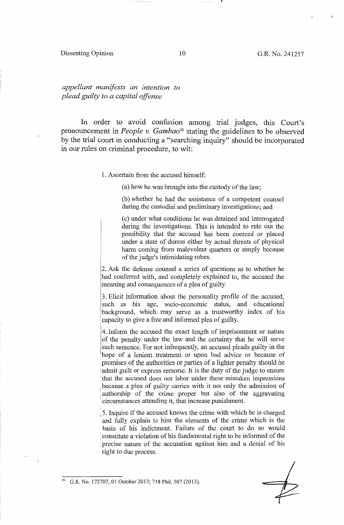### Dissenting Opinion 10 10 G.R. No. 241257

# *appellant manifests an intention to plead guilty to a capital offense* ·

In order to avoid confusion among trial judges, this Court's pronouncement in *People v. Gambao30* stating the guidelines to be observed by the trial court in conducting a "searching inquiry" should be incorporated in our rules on criminal procedure, to wit:

1. Ascertain from the accused himself:

(a) how he was brought into the custody of the law;

(b) whether he had the assistance of a competent counsel during the custodial and preliminary investigations; and

( c) under what conditions he was detained and interrogated during the investigations. This is intended to rule out the possibility that the accused has been coerced or placed under a state of duress either by actual threats of physical harm coming from malevolent quarters or simply because of the judge's intimidating robes.

2. Ask the defense counsel a series of questions as to whether he had conferred with, and completely explained to, the accused the meaning and consequences of a plea of guilty.

3. Elicit information about the personality profile of the accused, such as his age, socio-economic status, and educational background, which. may serve as a trustworthy index of his capacity to give a free and informed plea of guilty.

4. Inform the accused the exact length of imprisonment or nature of the penalty under the law and the certainty that he will serve such sentence. For not infrequently, an accused pleads guilty in the hope of a lenient treatment or upon bad advice or because of . promises of the authorities or parties of a lighter penalty should he admit guilt or express remorse. It is the duty of the judge to ensure that the accused does not labor under these mistaken impressions because a plea of guilty carries with it not only the admission of authorship of the crime proper but also of the aggravating circumstances attending it, that increase punishment.

1 5. Inquire if the accused knows the crime with which he is charged and fully explain to him the elements of the crime which is the basis of his indictment. Failure of the court to do so would constitute a violation of his fundamental right to be informed of the . precise nature of the accusation against him and a denial of his right to due process.

G.R. No. 172707, 01 October 2013; 718 Phil. 507 (2013).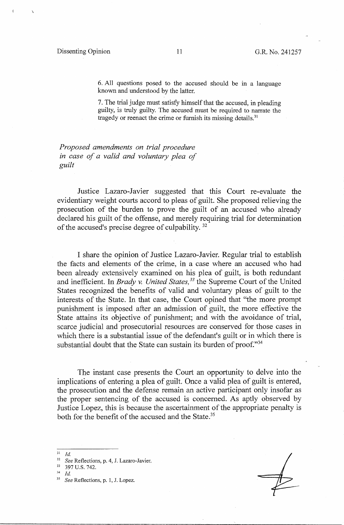\

6. All questions posed to the accused should be in a language known and understood by the latter.

7. The trial judge must satisfy himself that the accused, in pleading guilty, is truly guilty. The accused must be required to narrate the tragedy or reenact the crime or furnish its missing details.<sup>31</sup>

*Proposed amendments on trial procedure in case of a valid and voluntary plea of guilt* 

Justice Lazaro-Javier suggested that this Court re-evaluate the evidentiary weight courts accord to pleas of guilt. She proposed relieving the prosecution of the burden to prove the guilt of an accused who already declared his guilt of the offense, and merely requiring trial for determination of the accused's precise degree of culpability. 32

I share the opinion of Justice Lazaro-Javier. Regular trial to establish the facts and elements of the crime, in a case where an accused who had been already extensively examined on his plea of guilt, is both redundant and inefficient. In *Brady v. United States, 33* the Supreme Court of the United States recognized the benefits of valid and voluntary pleas of guilt to the interests of the State. In that case, the Court opined that "the more prompt punishment is imposed after an admission of guilt, the more effective the State attains its objective of punishment; and with the avoidance of trial, scarce judicial and prosecutorial resources are conserved for those cases in which there is a substantial issue of the defendant's guilt **or in** which there is substantial doubt that the State can sustain its burden of proof."<sup>34</sup>

The instant case presents the Court an opportunity to delve into the implications of entering a plea of guilt. Once a valid plea of guilt is entered, the prosecution and the defense remain an active participant only insofar as the proper sentencing of the accused is concerned. As aptly observed by Justice Lopez, this is because the ascertainment of the appropriate penalty is both for the benefit of the accused and the State.<sup>35</sup>

 $31$  *Id.* 

<sup>32</sup>*See* Reflections, p. 4, J. Lazaro-Javier. 33 397 U.S. 742. 34 *Id.* 

<sup>35</sup> *See* Reflections, p. 1, J. Lopez.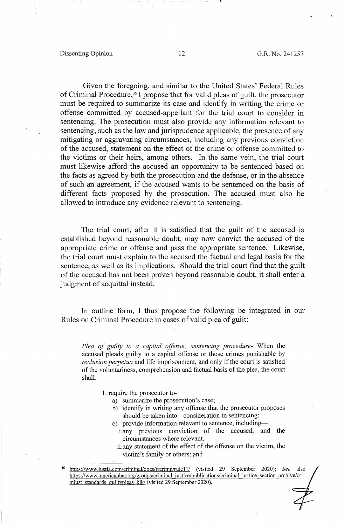Given the foregoing, and similar to the United States' Federal Rules of Criminal Procedure,36 I propose that for valid pleas of guilt, the prosecutor must be required to summarize its case and identify in writing the crime or offense committed by accused-appellant for the trial court to consider in sentencing. The prosecution must also provide any information relevant to sentencing, such as the law and jurisprudence applicable, the presence of any mitigating or aggravating circumstances, including any previous conviction of the accused, statement on the effect of the crime or offense committed to the victims or their heirs, among others. In the same vein, the trial court must likewise afford the accused an opportunity to be sentenced based on the facts as agreed by both the prosecution and the defense, or in the absence of such an agreement, if the accused wants to be sentenced on the basis of different facts proposed by the prosecution. The accused must also be allowed to introduce any evidence relevant to sentencing.

The trial court, after it is satisfied that the guilt of the accused is established beyond reasonable doubt, may now convict the accused of the appropriate crime or offense and pass the appropriate sentence. Likewise, the trial court must explain to the accused the factual and legal basis for the sentence, as well as its implications. Should the trial court find that the guilt of the accused has not been proven beyond reasonable doubt, it shall enter a judgment of acquittal instead.

In outline form, I thus propose the following be integrated in our Rules on Criminal Procedure in cases of valid plea of guilt:

*Plea of guilty to a capital offense; sentencing procedure-* When the accused pleads guilty to a capital offense or those crimes punishable by *reclusion perpetua* and life imprisonment, and only if the court is satisfied of the voluntariness, comprehension and factual basis of the plea, the court shall:

- 1. require the prosecutor to
	- a) summarize the prosecution's case;
	- b) identify in writing any offense that the prosecutor proposes should be taken into consideration in sentencing;
	- c) provide information relevant to sentence, including
		- i.any previous conviction of the accused, and the circumstances where relevant,
		- ii.any statement of the effect of the offense on the victim, the victim's family or others; and

<sup>36</sup> https://www.iustia.com/criminaVdocs/frcrimp/rulel 1/ (visited 29 September 2020); *See* also https://www.americanbar.org/groups/criminal justice/publications/criminal justice section archive/cri miust standards guiltypleas blk/ (visited 29 September 2020).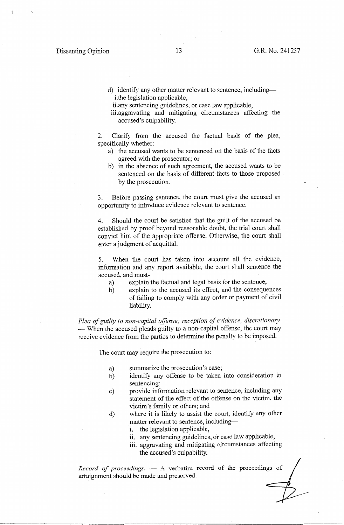- d) identify any other matter relevant to sentence, includingi.the legislation applicable,
- ii.any sentencing guidelines, or case law applicable,
- iii.aggravating and mitigating circumstances affecting the accused's culpability.

2. Clarify from the accused the factual basis of the plea, specifically whether:

- a) the accused wants to be sentenced on the basis of the facts agreed with the prosecutor; or
- b) in the absence of such agreement, the accused wants to be sentenced on the basis of different facts to those proposed by the prosecution.

3. Before passing sentence, the court must give the accused an opportunity to introduce evidence relevant to sentence.

4. Should the court be satisfied that the guilt of the accused be established by proof beyond reasonable doubt, the trial court shall convict him of the appropriate offense. Otherwise, the court shall enter a judgment of acquittal.

5. When the court has taken into account all the evidence, information and any report available, the court shall sentence the accused, and must-

- a) explain the factual and legal basis for the sentence;
- b) explain to the accused its effect, and the consequences of failing to comply with any order or payment of civil liability.

*Plea of guilty to non-capital offense; reception of evidence, discretionary.*  - When the accused pleads guilty to a non-capital offense, the court may receive evidence from the parties to determine the penalty to be imposed.

The court may require the prosecution to:

- a) summarize the prosecution's case;
- b) identify any offense to be taken into consideration in sentencing;
- c) provide information relevant to sentence, including any statement of the effect of the offense on the victim, the victim's family or others; and
- d) where it is likely to assist the court, identify any other matter relevant to sentence, including
	- i. the legislation applicable,
	- ii. any sentencing guidelines, or case law applicable,
	- iii. aggravating and mitigating circumstances affecting the accused's culpability.

*Record of proceedings.* - A verbatim record of the proceedings of arraignment should be made and preserved.